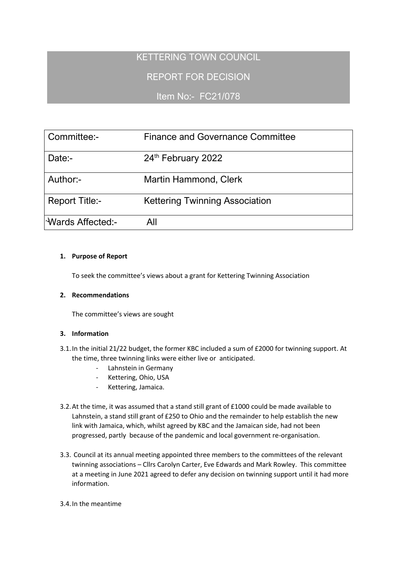# KETTERING TOWN COUNCIL

REPORT FOR DECISION

Item No:- FC21/078

| Committee:-           | <b>Finance and Governance Committee</b> |
|-----------------------|-----------------------------------------|
| Date:-                | 24th February 2022                      |
| Author:-              | Martin Hammond, Clerk                   |
| <b>Report Title:-</b> | <b>Kettering Twinning Association</b>   |
| Wards Affected:-      | All                                     |

## **1. Purpose of Report**

To seek the committee's views about a grant for Kettering Twinning Association

#### **2. Recommendations**

The committee's views are sought

## **3. Information**

- 3.1.In the initial 21/22 budget, the former KBC included a sum of £2000 for twinning support. At the time, three twinning links were either live or anticipated.
	- Lahnstein in Germany
	- Kettering, Ohio, USA
	- Kettering, Jamaica.
- 3.2.At the time, it was assumed that a stand still grant of £1000 could be made available to Lahnstein, a stand still grant of £250 to Ohio and the remainder to help establish the new link with Jamaica, which, whilst agreed by KBC and the Jamaican side, had not been progressed, partly because of the pandemic and local government re-organisation.
- 3.3. Council at its annual meeting appointed three members to the committees of the relevant twinning associations – Cllrs Carolyn Carter, Eve Edwards and Mark Rowley. This committee at a meeting in June 2021 agreed to defer any decision on twinning support until it had more information.

#### 3.4.In the meantime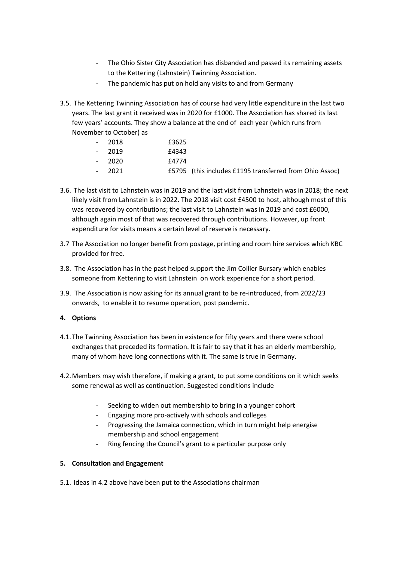- The Ohio Sister City Association has disbanded and passed its remaining assets to the Kettering (Lahnstein) Twinning Association.
- The pandemic has put on hold any visits to and from Germany
- 3.5. The Kettering Twinning Association has of course had very little expenditure in the last two years. The last grant it received was in 2020 for £1000. The Association has shared its last few years' accounts. They show a balance at the end of each year (which runs from November to October) as

| 2018 | £3625 |
|------|-------|
| 2019 | £4343 |
| 2020 | £4774 |
| วกวา | FEJOE |

- 2021 £5795 (this includes £1195 transferred from Ohio Assoc)
- 3.6. The last visit to Lahnstein was in 2019 and the last visit from Lahnstein was in 2018; the next likely visit from Lahnstein is in 2022. The 2018 visit cost £4500 to host, although most of this was recovered by contributions; the last visit to Lahnstein was in 2019 and cost £6000, although again most of that was recovered through contributions. However, up front expenditure for visits means a certain level of reserve is necessary.
- 3.7 The Association no longer benefit from postage, printing and room hire services which KBC provided for free.
- 3.8. The Association has in the past helped support the Jim Collier Bursary which enables someone from Kettering to visit Lahnstein on work experience for a short period.
- 3.9. The Association is now asking for its annual grant to be re-introduced, from 2022/23 onwards, to enable it to resume operation, post pandemic.

## **4. Options**

- 4.1.The Twinning Association has been in existence for fifty years and there were school exchanges that preceded its formation. It is fair to say that it has an elderly membership, many of whom have long connections with it. The same is true in Germany.
- 4.2.Members may wish therefore, if making a grant, to put some conditions on it which seeks some renewal as well as continuation. Suggested conditions include
	- Seeking to widen out membership to bring in a younger cohort
	- Engaging more pro-actively with schools and colleges
	- Progressing the Jamaica connection, which in turn might help energise membership and school engagement
	- Ring fencing the Council's grant to a particular purpose only

#### **5. Consultation and Engagement**

5.1. Ideas in 4.2 above have been put to the Associations chairman